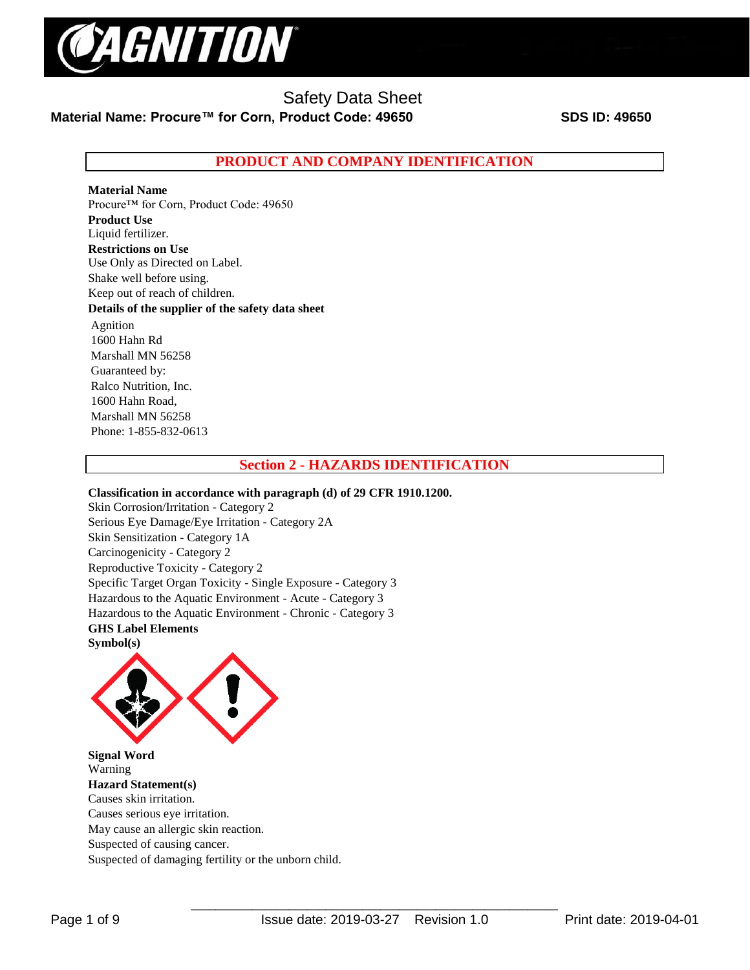

## **PRODUCT AND COMPANY IDENTIFICATION**

## **Material Name**

Procure™ for Corn, Product Code: 49650 **Product Use** Liquid fertilizer. **Restrictions on Use** Use Only as Directed on Label. Shake well before using. Keep out of reach of children. **Details of the supplier of the safety data sheet** Agnition 1600 Hahn Rd Marshall MN 56258 Guaranteed by: Ralco Nutrition, Inc. 1600 Hahn Road, Marshall MN 56258 Phone: 1-855-832-0613

## **Section 2 - HAZARDS IDENTIFICATION**

#### **Classification in accordance with paragraph (d) of 29 CFR 1910.1200.**

Skin Corrosion/Irritation - Category 2 Serious Eye Damage/Eye Irritation - Category 2A Skin Sensitization - Category 1A Carcinogenicity - Category 2 Reproductive Toxicity - Category 2 Specific Target Organ Toxicity - Single Exposure - Category 3 Hazardous to the Aquatic Environment - Acute - Category 3 Hazardous to the Aquatic Environment - Chronic - Category 3 **GHS Label Elements Symbol(s)** 



**Signal Word**  Warning **Hazard Statement(s)**  Causes skin irritation. Causes serious eye irritation. May cause an allergic skin reaction. Suspected of causing cancer. Suspected of damaging fertility or the unborn child.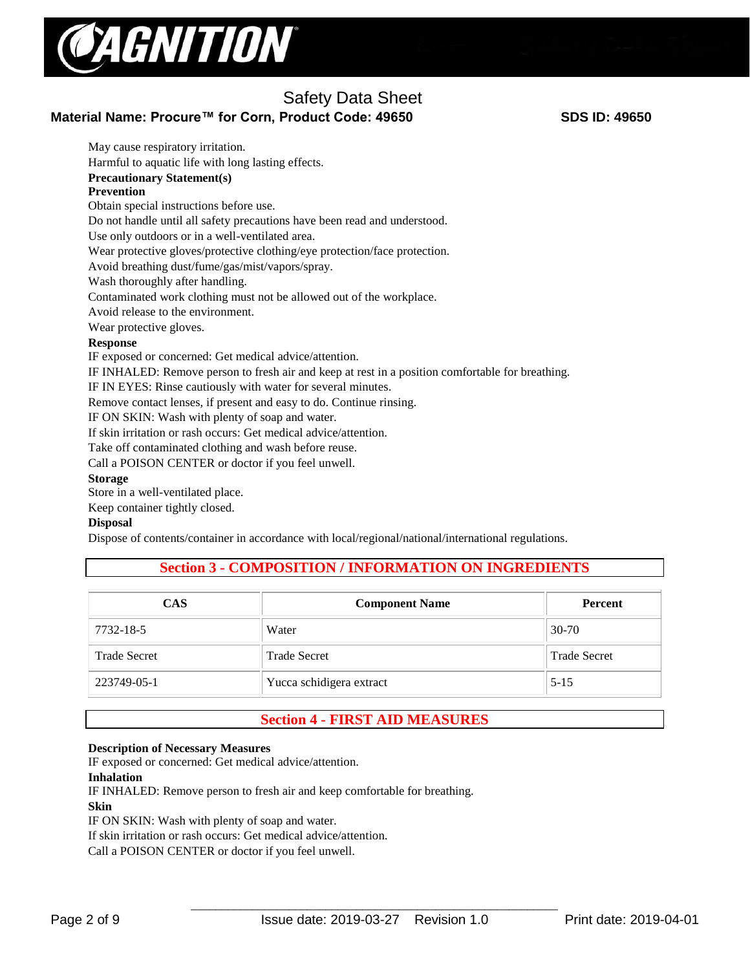

## Safety Data Sheet **Material Name: Procure™ for Corn, Product Code: 49650 SDS ID: 49650**

May cause respiratory irritation. Harmful to aquatic life with long lasting effects. **Precautionary Statement(s) Prevention**  Obtain special instructions before use. Do not handle until all safety precautions have been read and understood. Use only outdoors or in a well-ventilated area. Wear protective gloves/protective clothing/eye protection/face protection. Avoid breathing dust/fume/gas/mist/vapors/spray. Wash thoroughly after handling. Contaminated work clothing must not be allowed out of the workplace. Avoid release to the environment. Wear protective gloves. **Response**  IF exposed or concerned: Get medical advice/attention. IF INHALED: Remove person to fresh air and keep at rest in a position comfortable for breathing. IF IN EYES: Rinse cautiously with water for several minutes. Remove contact lenses, if present and easy to do. Continue rinsing. IF ON SKIN: Wash with plenty of soap and water. If skin irritation or rash occurs: Get medical advice/attention. Take off contaminated clothing and wash before reuse. Call a POISON CENTER or doctor if you feel unwell. **Storage**  Store in a well-ventilated place.

Keep container tightly closed.

## **Disposal**

Dispose of contents/container in accordance with local/regional/national/international regulations.

## **Section 3 - COMPOSITION / INFORMATION ON INGREDIENTS**

| <b>CAS</b>          | <b>Component Name</b>    | <b>Percent</b>      |
|---------------------|--------------------------|---------------------|
| 7732-18-5           | Water                    | $30-70$             |
| <b>Trade Secret</b> | <b>Trade Secret</b>      | <b>Trade Secret</b> |
| 223749-05-1         | Yucca schidigera extract | $5 - 15$            |

## **Section 4 - FIRST AID MEASURES**

#### **Description of Necessary Measures**

IF exposed or concerned: Get medical advice/attention.

#### **Inhalation**

IF INHALED: Remove person to fresh air and keep comfortable for breathing. **Skin** IF ON SKIN: Wash with plenty of soap and water. If skin irritation or rash occurs: Get medical advice/attention.

Call a POISON CENTER or doctor if you feel unwell.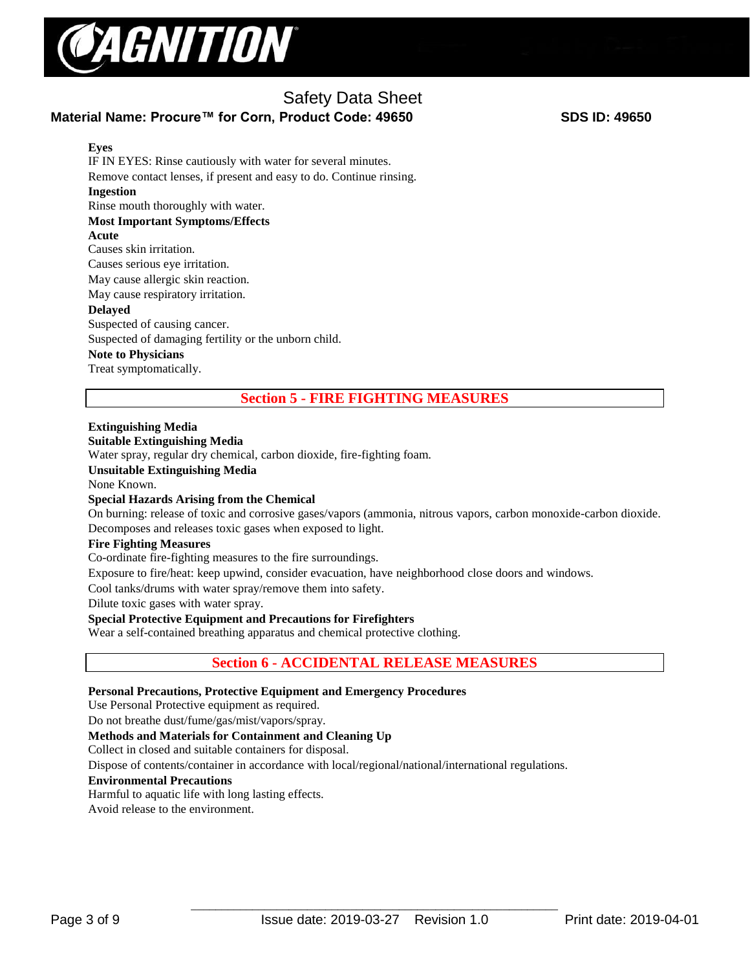

## Safety Data Sheet **Material Name: Procure™ for Corn, Product Code: 49650 SDS ID: 49650**

**Eyes** IF IN EYES: Rinse cautiously with water for several minutes. Remove contact lenses, if present and easy to do. Continue rinsing. **Ingestion** Rinse mouth thoroughly with water. **Most Important Symptoms/Effects Acute**  Causes skin irritation. Causes serious eye irritation. May cause allergic skin reaction. May cause respiratory irritation. **Delayed**  Suspected of causing cancer. Suspected of damaging fertility or the unborn child. **Note to Physicians**  Treat symptomatically.

**Section 5 - FIRE FIGHTING MEASURES**

## **Extinguishing Media**

#### **Suitable Extinguishing Media**

Water spray, regular dry chemical, carbon dioxide, fire-fighting foam.

## **Unsuitable Extinguishing Media**

None Known.

## **Special Hazards Arising from the Chemical**

On burning: release of toxic and corrosive gases/vapors (ammonia, nitrous vapors, carbon monoxide-carbon dioxide. Decomposes and releases toxic gases when exposed to light.

#### **Fire Fighting Measures**

Co-ordinate fire-fighting measures to the fire surroundings.

Exposure to fire/heat: keep upwind, consider evacuation, have neighborhood close doors and windows.

Cool tanks/drums with water spray/remove them into safety.

Dilute toxic gases with water spray.

## **Special Protective Equipment and Precautions for Firefighters**

Wear a self-contained breathing apparatus and chemical protective clothing.

## **Section 6 - ACCIDENTAL RELEASE MEASURES**

## **Personal Precautions, Protective Equipment and Emergency Procedures**

Use Personal Protective equipment as required.

Do not breathe dust/fume/gas/mist/vapors/spray.

## **Methods and Materials for Containment and Cleaning Up**

Collect in closed and suitable containers for disposal.

Dispose of contents/container in accordance with local/regional/national/international regulations.

#### **Environmental Precautions**

Harmful to aquatic life with long lasting effects.

Avoid release to the environment.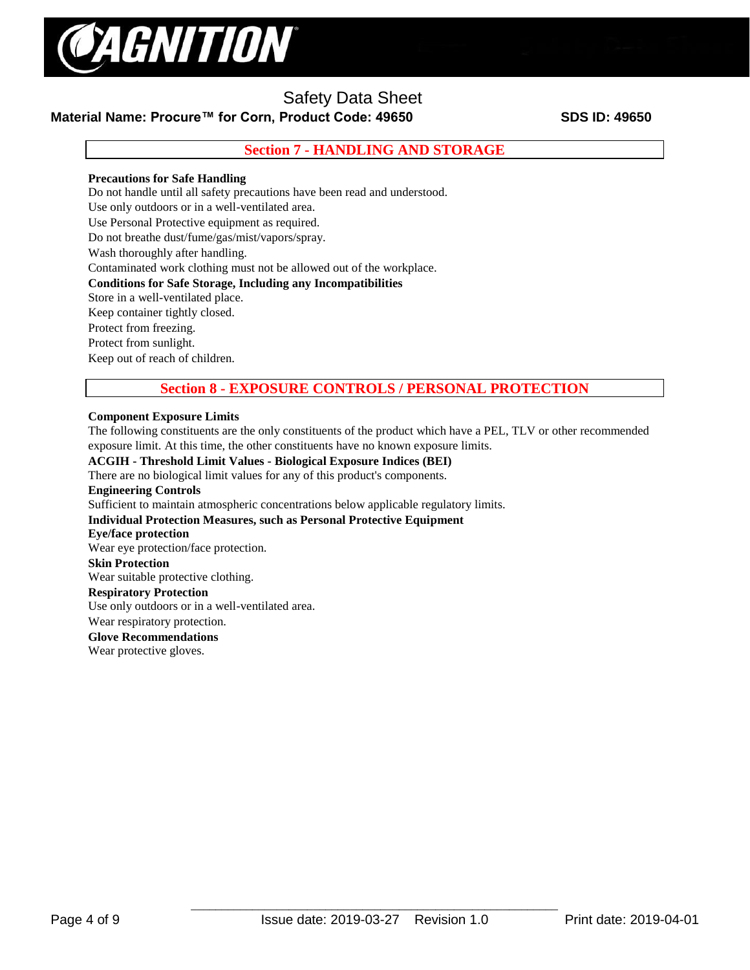

## **Material Name: Procure™ for Corn, Product Code: 49650 SDS ID: 49650**

**Section 7 - HANDLING AND STORAGE**

## **Precautions for Safe Handling**

Do not handle until all safety precautions have been read and understood.

Use only outdoors or in a well-ventilated area.

Use Personal Protective equipment as required.

Do not breathe dust/fume/gas/mist/vapors/spray.

Wash thoroughly after handling.

Contaminated work clothing must not be allowed out of the workplace.

## **Conditions for Safe Storage, Including any Incompatibilities**

Store in a well-ventilated place.

Keep container tightly closed.

Protect from freezing.

Protect from sunlight.

Keep out of reach of children.

## **Section 8 - EXPOSURE CONTROLS / PERSONAL PROTECTION**

#### **Component Exposure Limits**

The following constituents are the only constituents of the product which have a PEL, TLV or other recommended exposure limit. At this time, the other constituents have no known exposure limits.

## **ACGIH - Threshold Limit Values - Biological Exposure Indices (BEI)**

There are no biological limit values for any of this product's components. **Engineering Controls** Sufficient to maintain atmospheric concentrations below applicable regulatory limits. **Individual Protection Measures, such as Personal Protective Equipment Eye/face protection**  Wear eye protection/face protection. **Skin Protection**  Wear suitable protective clothing. **Respiratory Protection** Use only outdoors or in a well-ventilated area. Wear respiratory protection. **Glove Recommendations**

Wear protective gloves.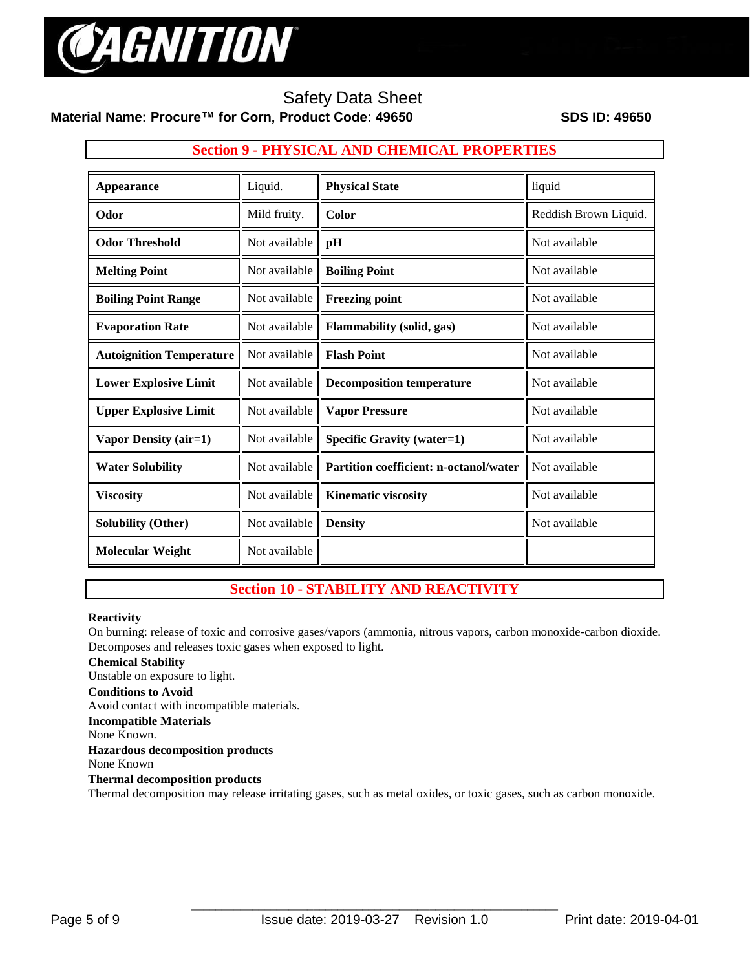

**Material Name: Procure™ for Corn, Product Code: 49650 SDS ID: 49650**

## **Section 9 - PHYSICAL AND CHEMICAL PROPERTIES**

| Appearance                      | Liquid.       | <b>Physical State</b>                  | liquid                |
|---------------------------------|---------------|----------------------------------------|-----------------------|
| Odor                            | Mild fruity.  | Color                                  | Reddish Brown Liquid. |
| <b>Odor Threshold</b>           | Not available | pH                                     | Not available         |
| <b>Melting Point</b>            | Not available | <b>Boiling Point</b>                   | Not available         |
| <b>Boiling Point Range</b>      | Not available | <b>Freezing point</b>                  | Not available         |
| <b>Evaporation Rate</b>         | Not available | Flammability (solid, gas)              | Not available         |
| <b>Autoignition Temperature</b> | Not available | <b>Flash Point</b>                     | Not available         |
| <b>Lower Explosive Limit</b>    | Not available | <b>Decomposition temperature</b>       | Not available         |
| <b>Upper Explosive Limit</b>    | Not available | <b>Vapor Pressure</b>                  | Not available         |
| Vapor Density (air=1)           | Not available | <b>Specific Gravity (water=1)</b>      | Not available         |
| <b>Water Solubility</b>         | Not available | Partition coefficient: n-octanol/water | Not available         |
| <b>Viscosity</b>                | Not available | <b>Kinematic viscosity</b>             | Not available         |
| <b>Solubility (Other)</b>       | Not available | <b>Density</b>                         | Not available         |
| <b>Molecular Weight</b>         | Not available |                                        |                       |

## **Section 10 - STABILITY AND REACTIVITY**

#### **Reactivity**

On burning: release of toxic and corrosive gases/vapors (ammonia, nitrous vapors, carbon monoxide-carbon dioxide. Decomposes and releases toxic gases when exposed to light.

## **Chemical Stability**

Unstable on exposure to light.

#### **Conditions to Avoid**

Avoid contact with incompatible materials.

## **Incompatible Materials**

None Known.

## **Hazardous decomposition products**

None Known

## **Thermal decomposition products**

Thermal decomposition may release irritating gases, such as metal oxides, or toxic gases, such as carbon monoxide.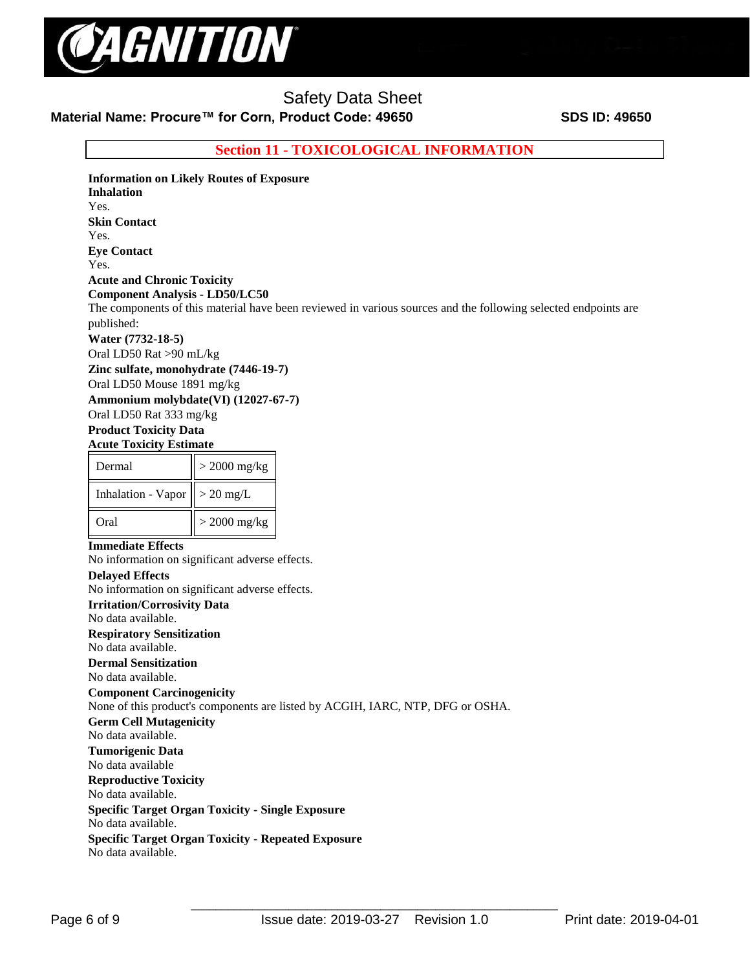

## **Material Name: Procure™ for Corn, Product Code: 49650 SDS ID: 49650**

**Section 11 - TOXICOLOGICAL INFORMATION**

**Information on Likely Routes of Exposure Inhalation**  Yes. **Skin Contact**  Yes. **Eye Contact**  Yes. **Acute and Chronic Toxicity Component Analysis - LD50/LC50**  The components of this material have been reviewed in various sources and the following selected endpoints are published: **Water (7732-18-5)** Oral LD50 Rat >90 mL/kg **Zinc sulfate, monohydrate (7446-19-7)** Oral LD50 Mouse 1891 mg/kg **Ammonium molybdate(VI) (12027-67-7)** Oral LD50 Rat 333 mg/kg **Product Toxicity Data Acute Toxicity Estimate** 

| Dermal             | $>$ 2000 mg/kg |  |  |
|--------------------|----------------|--|--|
| Inhalation - Vapor | $>$ 20 mg/L    |  |  |
| Oral               | $>$ 2000 mg/kg |  |  |

#### **Immediate Effects**

No information on significant adverse effects. **Delayed Effects**  No information on significant adverse effects. **Irritation/Corrosivity Data**  No data available. **Respiratory Sensitization**  No data available. **Dermal Sensitization**  No data available. **Component Carcinogenicity**  None of this product's components are listed by ACGIH, IARC, NTP, DFG or OSHA. **Germ Cell Mutagenicity**  No data available. **Tumorigenic Data**  No data available **Reproductive Toxicity**  No data available. **Specific Target Organ Toxicity - Single Exposure**  No data available. **Specific Target Organ Toxicity - Repeated Exposure**  No data available.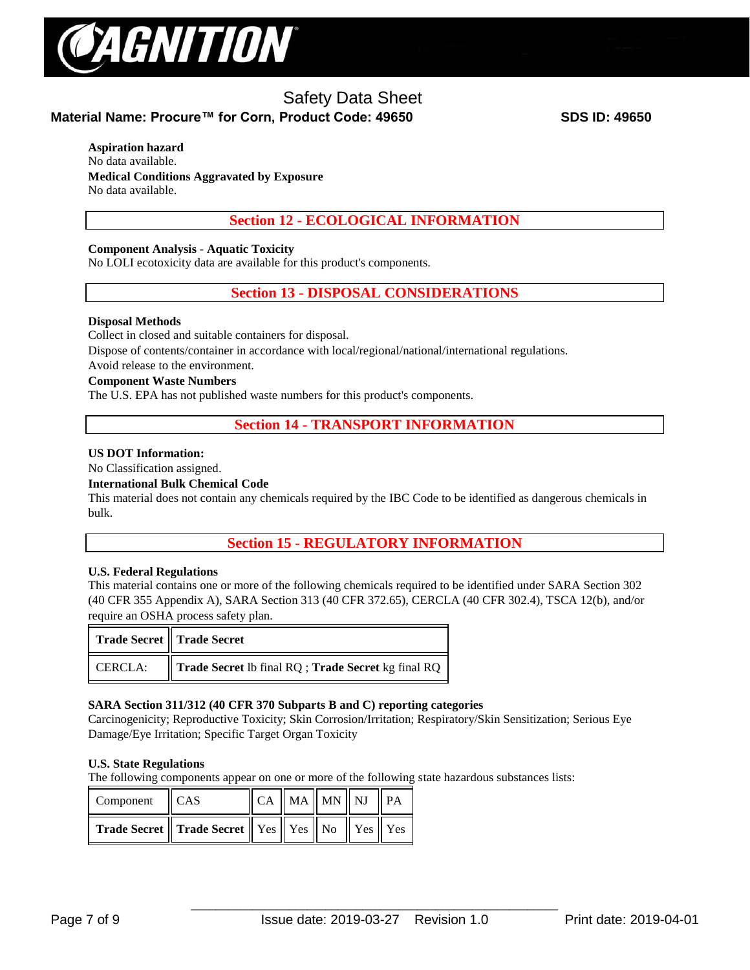

## **Material Name: Procure™ for Corn, Product Code: 49650 SDS ID: 49650**

#### **Aspiration hazard**

No data available. **Medical Conditions Aggravated by Exposure** No data available.

## **Section 12 - ECOLOGICAL INFORMATION**

## **Component Analysis - Aquatic Toxicity**

No LOLI ecotoxicity data are available for this product's components.

## **Section 13 - DISPOSAL CONSIDERATIONS**

## **Disposal Methods**

Collect in closed and suitable containers for disposal.

Dispose of contents/container in accordance with local/regional/national/international regulations.

Avoid release to the environment.

#### **Component Waste Numbers**

The U.S. EPA has not published waste numbers for this product's components.

## **Section 14 - TRANSPORT INFORMATION**

#### **US DOT Information:**

No Classification assigned.

#### **International Bulk Chemical Code**

This material does not contain any chemicals required by the IBC Code to be identified as dangerous chemicals in bulk.

## **Section 15 - REGULATORY INFORMATION**

## **U.S. Federal Regulations**

This material contains one or more of the following chemicals required to be identified under SARA Section 302 (40 CFR 355 Appendix A), SARA Section 313 (40 CFR 372.65), CERCLA (40 CFR 302.4), TSCA 12(b), and/or require an OSHA process safety plan.

|         | Trade Secret    Trade Secret                       |
|---------|----------------------------------------------------|
| CERCLA: | Trade Secret Ib final RQ; Trade Secret kg final RQ |

## **SARA Section 311/312 (40 CFR 370 Subparts B and C) reporting categories**

Carcinogenicity; Reproductive Toxicity; Skin Corrosion/Irritation; Respiratory/Skin Sensitization; Serious Eye Damage/Eye Irritation; Specific Target Organ Toxicity

## **U.S. State Regulations**

The following components appear on one or more of the following state hazardous substances lists:

| Component CAS |                                                                              | $\ $ CA $\ $ MA $\ $ MN $\ $ NJ $\ $ PA |  |  |
|---------------|------------------------------------------------------------------------------|-----------------------------------------|--|--|
|               | <b>Trade Secret    Trade Secret    Yes    Yes    No    Yes    Yes    Yes</b> |                                         |  |  |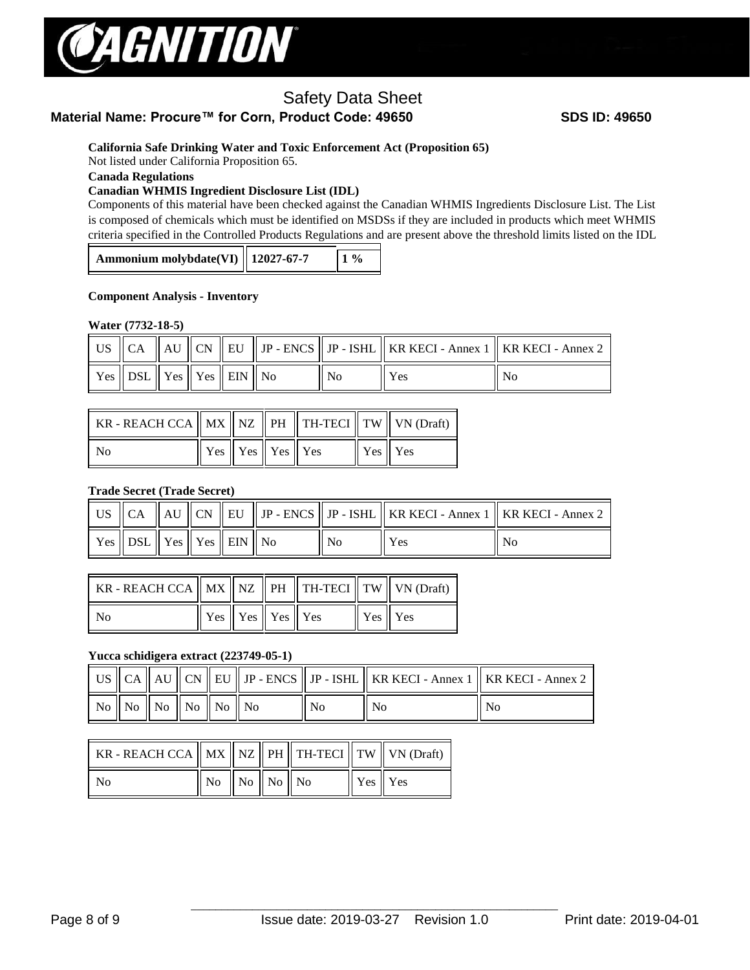

## **Material Name: Procure™ for Corn, Product Code: 49650 SDS ID: 49650**

## **California Safe Drinking Water and Toxic Enforcement Act (Proposition 65)**

Not listed under California Proposition 65.

## **Canada Regulations**

## **Canadian WHMIS Ingredient Disclosure List (IDL)**

Components of this material have been checked against the Canadian WHMIS Ingredients Disclosure List. The List is composed of chemicals which must be identified on MSDSs if they are included in products which meet WHMIS criteria specified in the Controlled Products Regulations and are present above the threshold limits listed on the IDL

| Ammonium molybdate(VI)   12027-67-7<br>$1\%$ |
|----------------------------------------------|
|----------------------------------------------|

#### **Component Analysis - Inventory**

#### **Water (7732-18-5)**

|                                                                                                |  |  |     | US $\ $ CA $\ $ AU $\ $ CN $\ $ EU $\ $ JP - ENCS $\ $ JP - ISHL $\ $ KR KECI - Annex 1 $\ $ KR KECI - Annex 2 |    |
|------------------------------------------------------------------------------------------------|--|--|-----|----------------------------------------------------------------------------------------------------------------|----|
| $\parallel$ Yes $\parallel$ DSL $\parallel$ Yes $\parallel$ Yes $\parallel$ EIN $\parallel$ No |  |  | No. | Yes                                                                                                            | No |

| KR - REACH CCA $\parallel$ MX $\parallel$ NZ $\parallel$ PH $\parallel$ TH-TECI $\parallel$ TW $\parallel$ VN (Draft) |                                                                 |  |         |  |
|-----------------------------------------------------------------------------------------------------------------------|-----------------------------------------------------------------|--|---------|--|
| No                                                                                                                    | $\parallel$ Yes $\parallel$ Yes $\parallel$ Yes $\parallel$ Yes |  | Yes Yes |  |

## **Trade Secret (Trade Secret)**

|                                                                                                |  |  |                |     | US $\parallel$ CA $\parallel$ AU $\parallel$ CN $\parallel$ EU $\parallel$ JP - ENCS $\parallel$ JP - ISHL $\parallel$ KR KECI - Annex 1 $\parallel$ KR KECI - Annex 2 $\parallel$ |
|------------------------------------------------------------------------------------------------|--|--|----------------|-----|------------------------------------------------------------------------------------------------------------------------------------------------------------------------------------|
| $\parallel$ Yes $\parallel$ DSL $\parallel$ Yes $\parallel$ Yes $\parallel$ EIN $\parallel$ No |  |  | N <sub>0</sub> | Yes | No                                                                                                                                                                                 |

| KR - REACH CCA $\parallel$ MX $\parallel$ NZ $\parallel$ PH $\parallel$ TH-TECI $\parallel$ TW $\parallel$ VN (Draft) |                                                                 |  |         |  |
|-----------------------------------------------------------------------------------------------------------------------|-----------------------------------------------------------------|--|---------|--|
| N <sub>0</sub>                                                                                                        | $\parallel$ Yes $\parallel$ Yes $\parallel$ Yes $\parallel$ Yes |  | Yes Yes |  |

## **Yucca schidigera extract (223749-05-1)**

|  |                                                             |  |  | US $\ $ CA $\ $ AU $\ $ CN $\ $ EU $\ $ JP - ENCS $\ $ JP - ISHL $\ $ KR KECI - Annex 1 $\ $ KR KECI - Annex 2 |                |
|--|-------------------------------------------------------------|--|--|----------------------------------------------------------------------------------------------------------------|----------------|
|  | $\mid$ No $\mid$ No $\mid$ No $\mid$ No $\mid$ No $\mid$ No |  |  | N <sub>0</sub>                                                                                                 | N <sub>0</sub> |

| KR - REACH CCA $\parallel$ MX $\parallel$ NZ $\parallel$ PH $\parallel$ TH-TECI $\parallel$ TW $\parallel$ VN (Draft) |                                                             |  |             |  |
|-----------------------------------------------------------------------------------------------------------------------|-------------------------------------------------------------|--|-------------|--|
| N <sub>0</sub>                                                                                                        | $\parallel$ No $\parallel$ No $\parallel$ No $\parallel$ No |  | $Yes$ $Yes$ |  |